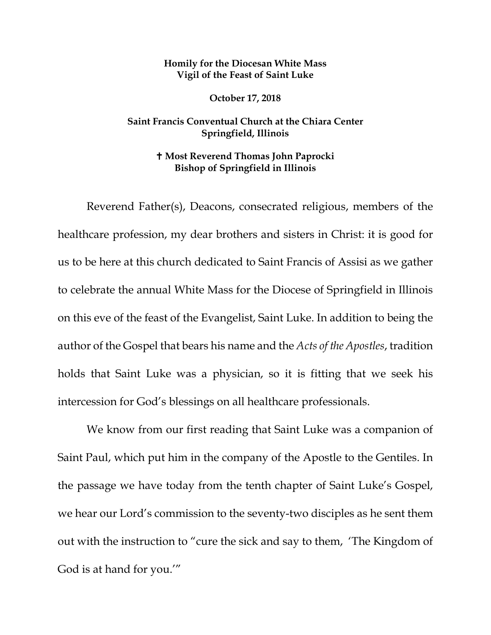## **Homily for the Diocesan White Mass Vigil of the Feast of Saint Luke**

**October 17, 2018**

## **Saint Francis Conventual Church at the Chiara Center Springfield, Illinois**

## **Most Reverend Thomas John Paprocki Bishop of Springfield in Illinois**

Reverend Father(s), Deacons, consecrated religious, members of the healthcare profession, my dear brothers and sisters in Christ: it is good for us to be here at this church dedicated to Saint Francis of Assisi as we gather to celebrate the annual White Mass for the Diocese of Springfield in Illinois on this eve of the feast of the Evangelist, Saint Luke. In addition to being the author of the Gospel that bears his name and the *Acts of the Apostles*, tradition holds that Saint Luke was a physician, so it is fitting that we seek his intercession for God's blessings on all healthcare professionals.

We know from our first reading that Saint Luke was a companion of Saint Paul, which put him in the company of the Apostle to the Gentiles. In the passage we have today from the tenth chapter of Saint Luke's Gospel, we hear our Lord's commission to the seventy-two disciples as he sent them out with the instruction to "cure the sick and say to them, 'The Kingdom of God is at hand for you.'"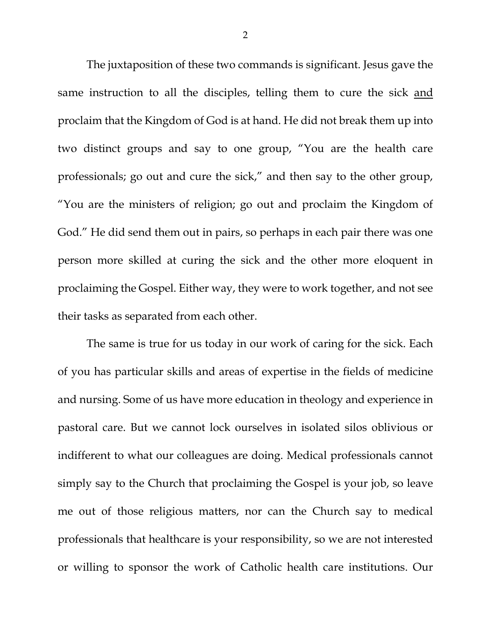The juxtaposition of these two commands is significant. Jesus gave the same instruction to all the disciples, telling them to cure the sick and proclaim that the Kingdom of God is at hand. He did not break them up into two distinct groups and say to one group, "You are the health care professionals; go out and cure the sick," and then say to the other group, "You are the ministers of religion; go out and proclaim the Kingdom of God." He did send them out in pairs, so perhaps in each pair there was one person more skilled at curing the sick and the other more eloquent in proclaiming the Gospel. Either way, they were to work together, and not see their tasks as separated from each other.

The same is true for us today in our work of caring for the sick. Each of you has particular skills and areas of expertise in the fields of medicine and nursing. Some of us have more education in theology and experience in pastoral care. But we cannot lock ourselves in isolated silos oblivious or indifferent to what our colleagues are doing. Medical professionals cannot simply say to the Church that proclaiming the Gospel is your job, so leave me out of those religious matters, nor can the Church say to medical professionals that healthcare is your responsibility, so we are not interested or willing to sponsor the work of Catholic health care institutions. Our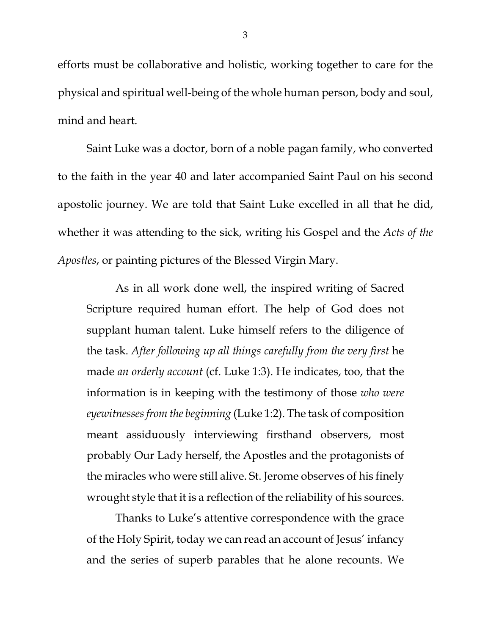efforts must be collaborative and holistic, working together to care for the physical and spiritual well-being of the whole human person, body and soul, mind and heart.

Saint Luke was a doctor, born of a noble pagan family, who converted to the faith in the year 40 and later accompanied Saint Paul on his second apostolic journey. We are told that Saint Luke excelled in all that he did, whether it was attending to the sick, writing his Gospel and the *Acts of the Apostles*, or painting pictures of the Blessed Virgin Mary.

As in all work done well, the inspired writing of Sacred Scripture required human effort. The help of God does not supplant human talent. Luke himself refers to the diligence of the task. *After following up all things carefully from the very first* he made *an orderly account* (cf. Luke 1:3). He indicates, too, that the information is in keeping with the testimony of those *who were eyewitnesses from the beginning* (Luke 1:2). The task of composition meant assiduously interviewing firsthand observers, most probably Our Lady herself, the Apostles and the protagonists of the miracles who were still alive. St. Jerome observes of his finely wrought style that it is a reflection of the reliability of his sources.

Thanks to Luke's attentive correspondence with the grace of the Holy Spirit, today we can read an account of Jesus' infancy and the series of superb parables that he alone recounts. We